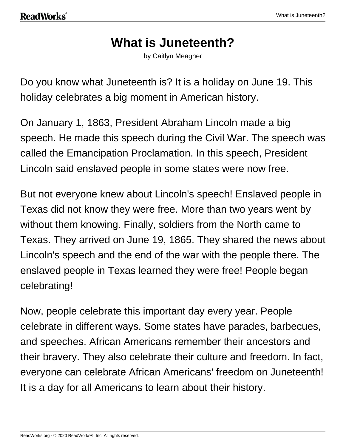# **What is Juneteenth?**

by Caitlyn Meagher

Do you know what Juneteenth is? It is a holiday on June 19. This holiday celebrates a big moment in American history.

On January 1, 1863, President Abraham Lincoln made a big speech. He made this speech during the Civil War. The speech was called the Emancipation Proclamation. In this speech, President Lincoln said enslaved people in some states were now free.

But not everyone knew about Lincoln's speech! Enslaved people in Texas did not know they were free. More than two years went by without them knowing. Finally, soldiers from the North came to Texas. They arrived on June 19, 1865. They shared the news about Lincoln's speech and the end of the war with the people there. The enslaved people in Texas learned they were free! People began celebrating!

Now, people celebrate this important day every year. People celebrate in different ways. Some states have parades, barbecues, and speeches. African Americans remember their ancestors and their bravery. They also celebrate their culture and freedom. In fact, everyone can celebrate African Americans' freedom on Juneteenth! It is a day for all Americans to learn about their history.